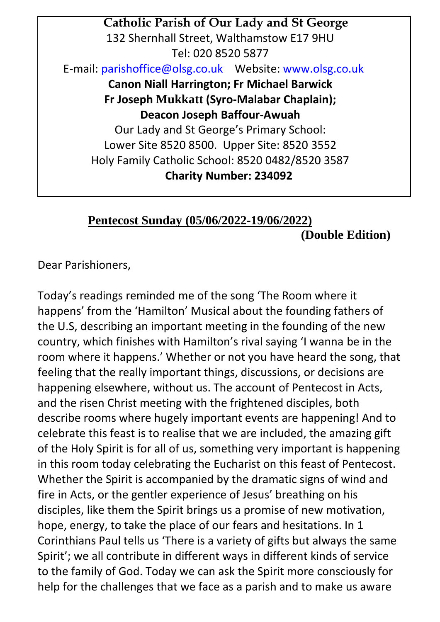**Catholic Parish of Our Lady and St George** 132 Shernhall Street, Walthamstow E17 9HU Tel: 020 8520 5877 E-mail[: parishoffice@olsg.co.uk](mailto:parishoffice@olsg.co.uk) Website[: www.olsg.co.uk](http://www.olsg.co.uk/) **Canon Niall Harrington; Fr Michael Barwick Fr Joseph Mukkatt (Syro-Malabar Chaplain); Deacon Joseph Baffour-Awuah**  Our Lady and St George's Primary School: Lower Site 8520 8500. Upper Site: 8520 3552 Holy Family Catholic School: 8520 0482/8520 3587 **Charity Number: 234092**

## **Pentecost Sunday (05/06/2022-19/06/2022) (Double Edition)**

Dear Parishioners,

Today's readings reminded me of the song 'The Room where it happens' from the 'Hamilton' Musical about the founding fathers of the U.S, describing an important meeting in the founding of the new country, which finishes with Hamilton's rival saying 'I wanna be in the room where it happens.' Whether or not you have heard the song, that feeling that the really important things, discussions, or decisions are happening elsewhere, without us. The account of Pentecost in Acts, and the risen Christ meeting with the frightened disciples, both describe rooms where hugely important events are happening! And to celebrate this feast is to realise that we are included, the amazing gift of the Holy Spirit is for all of us, something very important is happening in this room today celebrating the Eucharist on this feast of Pentecost. Whether the Spirit is accompanied by the dramatic signs of wind and fire in Acts, or the gentler experience of Jesus' breathing on his disciples, like them the Spirit brings us a promise of new motivation, hope, energy, to take the place of our fears and hesitations. In 1 Corinthians Paul tells us 'There is a variety of gifts but always the same Spirit'; we all contribute in different ways in different kinds of service to the family of God. Today we can ask the Spirit more consciously for help for the challenges that we face as a parish and to make us aware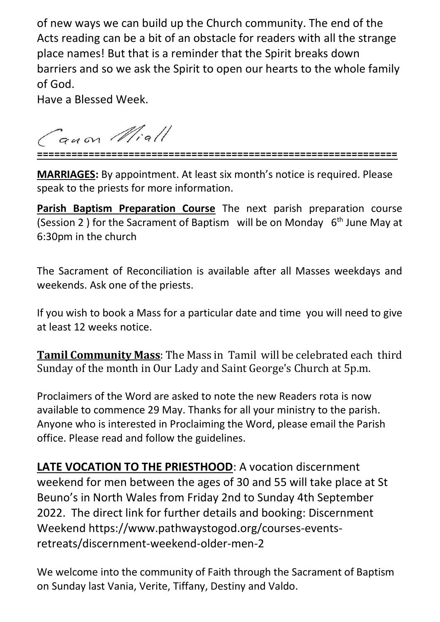of new ways we can build up the Church community. The end of the Acts reading can be a bit of an obstacle for readers with all the strange place names! But that is a reminder that the Spirit breaks down barriers and so we ask the Spirit to open our hearts to the whole family of God.

Have a Blessed Week.

Guon Miall

**===============================================================**

**MARRIAGES:** By appointment. At least six month's notice is required. Please speak to the priests for more information.

**Parish Baptism Preparation Course** The next parish preparation course (Session 2) for the Sacrament of Baptism will be on Monday  $6<sup>th</sup>$  June May at 6:30pm in the church

The Sacrament of Reconciliation is available after all Masses weekdays and weekends. Ask one of the priests.

If you wish to book a Mass for a particular date and time you will need to give at least 12 weeks notice.

**Tamil Community Mass**: The Mass in Tamil will be celebrated each third Sunday of the month in Our Lady and Saint George's Church at 5p.m.

Proclaimers of the Word are asked to note the new Readers rota is now available to commence 29 May. Thanks for all your ministry to the parish. Anyone who is interested in Proclaiming the Word, please email the Parish office. Please read and follow the guidelines.

**LATE VOCATION TO THE PRIESTHOOD**: A vocation discernment weekend for men between the ages of 30 and 55 will take place at St Beuno's in North Wales from Friday 2nd to Sunday 4th September 2022. The direct link for further details and booking: Discernment Weekend https://www.pathwaystogod.org/courses-eventsretreats/discernment-weekend-older-men-2

We welcome into the community of Faith through the Sacrament of Baptism on Sunday last Vania, Verite, Tiffany, Destiny and Valdo.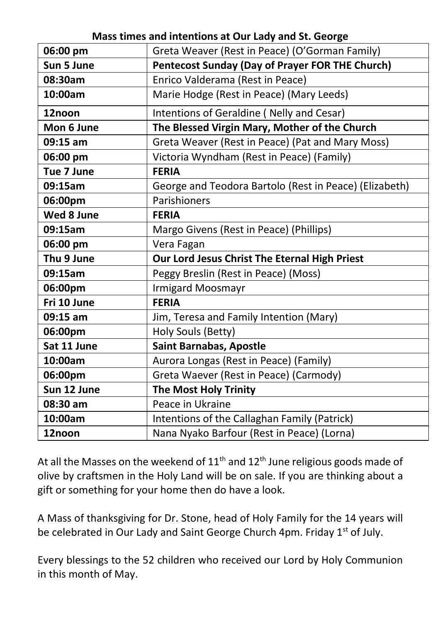| 06:00 pm    | Greta Weaver (Rest in Peace) (O'Gorman Family)         |
|-------------|--------------------------------------------------------|
| Sun 5 June  | <b>Pentecost Sunday (Day of Prayer FOR THE Church)</b> |
| 08:30am     | Enrico Valderama (Rest in Peace)                       |
| 10:00am     | Marie Hodge (Rest in Peace) (Mary Leeds)               |
| 12noon      | Intentions of Geraldine (Nelly and Cesar)              |
| Mon 6 June  | The Blessed Virgin Mary, Mother of the Church          |
| $09:15$ am  | Greta Weaver (Rest in Peace) (Pat and Mary Moss)       |
| 06:00 pm    | Victoria Wyndham (Rest in Peace) (Family)              |
| Tue 7 June  | <b>FERIA</b>                                           |
| 09:15am     | George and Teodora Bartolo (Rest in Peace) (Elizabeth) |
| 06:00pm     | Parishioners                                           |
| Wed 8 June  | <b>FERIA</b>                                           |
| 09:15am     | Margo Givens (Rest in Peace) (Phillips)                |
| 06:00 pm    | Vera Fagan                                             |
| Thu 9 June  | Our Lord Jesus Christ The Eternal High Priest          |
| 09:15am     | Peggy Breslin (Rest in Peace) (Moss)                   |
| 06:00pm     | Irmigard Moosmayr                                      |
| Fri 10 June | <b>FERIA</b>                                           |
| 09:15 am    | Jim, Teresa and Family Intention (Mary)                |
| 06:00pm     | Holy Souls (Betty)                                     |
| Sat 11 June | <b>Saint Barnabas, Apostle</b>                         |
| 10:00am     | Aurora Longas (Rest in Peace) (Family)                 |
| 06:00pm     | Greta Waever (Rest in Peace) (Carmody)                 |
| Sun 12 June | <b>The Most Holy Trinity</b>                           |
| 08:30 am    | Peace in Ukraine                                       |
| 10:00am     | Intentions of the Callaghan Family (Patrick)           |
| 12noon      | Nana Nyako Barfour (Rest in Peace) (Lorna)             |

**Mass times and intentions at Our Lady and St. George**

At all the Masses on the weekend of  $11<sup>th</sup>$  and  $12<sup>th</sup>$  June religious goods made of olive by craftsmen in the Holy Land will be on sale. If you are thinking about a gift or something for your home then do have a look.

A Mass of thanksgiving for Dr. Stone, head of Holy Family for the 14 years will be celebrated in Our Lady and Saint George Church 4pm. Friday 1<sup>st</sup> of July.

Every blessings to the 52 children who received our Lord by Holy Communion in this month of May.